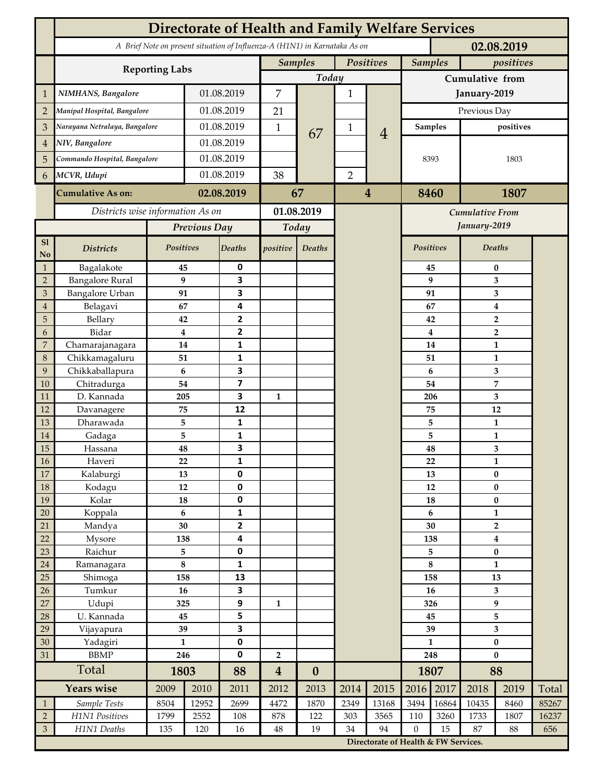|                                | <b>Directorate of Health and Family Welfare Services</b>                                 |                  |               |                         |                             |                  |                |                                      |                             |                         |                               |                |                |  |
|--------------------------------|------------------------------------------------------------------------------------------|------------------|---------------|-------------------------|-----------------------------|------------------|----------------|--------------------------------------|-----------------------------|-------------------------|-------------------------------|----------------|----------------|--|
|                                | A Brief Note on present situation of Influenza-A (H1N1) in Karnataka As on<br>02.08.2019 |                  |               |                         |                             |                  |                |                                      |                             |                         |                               |                |                |  |
|                                | <b>Reporting Labs</b>                                                                    |                  |               |                         | Positives<br><b>Samples</b> |                  |                |                                      | <b>Samples</b><br>positives |                         |                               |                |                |  |
|                                |                                                                                          | Today            |               |                         |                             | Cumulative from  |                |                                      |                             |                         |                               |                |                |  |
| $\mathbf 1$                    | NIMHANS, Bangalore                                                                       | 01.08.2019       |               | 7                       |                             | $\mathbf{1}$     |                | January-2019                         |                             |                         |                               |                |                |  |
| $\overline{2}$                 | Manipal Hospital, Bangalore                                                              |                  | 01.08.2019    |                         | 21                          |                  |                |                                      | Previous Day                |                         |                               |                |                |  |
| 3                              | Narayana Netralaya, Bangalore                                                            |                  |               | 01.08.2019              |                             |                  | $\mathbf{1}$   |                                      | <b>Samples</b>              |                         | positives                     |                |                |  |
| 4                              | NIV, Bangalore                                                                           |                  |               | 01.08.2019              |                             | 67               |                | $\overline{4}$                       |                             |                         |                               |                |                |  |
| 5                              | Commando Hospital, Bangalore                                                             |                  | 01.08.2019    |                         |                             |                  |                |                                      | 8393                        |                         | 1803                          |                |                |  |
| 6                              | MCVR, Udupi                                                                              |                  | 01.08.2019    |                         | 38                          |                  | $\overline{2}$ |                                      |                             |                         |                               |                |                |  |
|                                |                                                                                          |                  |               |                         |                             |                  |                |                                      |                             |                         |                               |                |                |  |
|                                | <b>Cumulative As on:</b>                                                                 | 02.08.2019       |               | 67                      |                             | $\overline{4}$   |                | 1807<br>8460                         |                             |                         |                               |                |                |  |
|                                | Districts wise information As on                                                         |                  |               |                         |                             | 01.08.2019       |                |                                      |                             | Cumulative From         |                               |                |                |  |
|                                |                                                                                          | Previous Day     |               | Today                   |                             |                  |                |                                      |                             | January-2019            |                               |                |                |  |
| S1<br>N <sub>o</sub>           | <b>Districts</b>                                                                         | Positives        |               | <b>Deaths</b>           | positive                    | Deaths           |                |                                      | <b>Positives</b>            |                         | <b>Deaths</b>                 |                |                |  |
| $\mathbf{1}$                   | Bagalakote                                                                               | 45               |               | 0                       |                             |                  |                |                                      |                             | 45                      | $\bf{0}$                      |                |                |  |
| $\mathbf 2$                    | <b>Bangalore Rural</b>                                                                   | 9                |               | $\overline{\mathbf{3}}$ |                             |                  |                |                                      |                             | 9                       | 3                             |                |                |  |
| $\ensuremath{\mathfrak{Z}}$    | <b>Bangalore Urban</b>                                                                   | 91               |               | 3<br>4                  |                             |                  |                |                                      |                             | 91                      |                               | 3              |                |  |
| 4<br>5                         | Belagavi<br>Bellary                                                                      | 67<br>42         |               | $\overline{2}$          |                             |                  |                |                                      |                             | 67<br>42                | 4<br>$\overline{2}$           |                |                |  |
| 6                              | Bidar                                                                                    | $\boldsymbol{4}$ |               | $\overline{2}$          |                             |                  |                |                                      |                             | $\overline{\mathbf{4}}$ |                               | $\overline{2}$ |                |  |
| 7                              | Chamarajanagara                                                                          | 14               |               | 1                       |                             |                  |                | 14                                   |                             | $\mathbf{1}$            |                               |                |                |  |
| $\,8\,$                        | Chikkamagaluru                                                                           | 51               |               | 1                       |                             |                  |                |                                      |                             | 51                      |                               | 1              |                |  |
| 9                              | Chikkaballapura                                                                          | 6                |               | $\overline{\mathbf{3}}$ |                             |                  |                |                                      |                             | 6                       |                               | 3              |                |  |
| 10                             | Chitradurga                                                                              | 54               |               | $\overline{\mathbf{z}}$ |                             |                  |                |                                      |                             | 54                      |                               | 7              |                |  |
| 11                             | D. Kannada                                                                               | 205              |               | 3                       | 1                           |                  |                |                                      |                             | 206                     |                               | 3              |                |  |
| 12                             | Davanagere                                                                               | 75               |               | 12                      |                             |                  |                |                                      |                             | 75                      | 12                            |                |                |  |
| 13                             | Dharawada                                                                                | 5                |               | 1<br>$\mathbf{1}$       |                             |                  |                |                                      |                             | 5                       | $\mathbf{1}$<br>$\mathbf{1}$  |                |                |  |
| 14<br>15                       | Gadaga<br>Hassana                                                                        | 5<br>48          |               | $\overline{\mathbf{3}}$ |                             |                  |                |                                      |                             | 5<br>48                 | 3                             |                |                |  |
| 16                             | Haveri                                                                                   | 22               |               | 1                       |                             |                  |                |                                      | 22                          |                         |                               | $\mathbf{1}$   |                |  |
| 17                             | Kalaburgi                                                                                | 13               |               | $\mathbf 0$             |                             |                  |                |                                      | 13                          |                         | $\bf{0}$                      |                |                |  |
| $18\,$                         | Kodagu                                                                                   | 12               |               | $\pmb{0}$               |                             |                  |                |                                      |                             | $12\,$                  | $\pmb{0}$                     |                |                |  |
| 19                             | Kolar                                                                                    | 18               |               | $\pmb{0}$               |                             |                  |                |                                      | 18                          |                         | $\bf{0}$                      |                |                |  |
| 20                             | Koppala                                                                                  | $\boldsymbol{6}$ |               | $\mathbf 1$             |                             |                  |                |                                      | 6                           |                         | $\mathbf{1}$                  |                |                |  |
| 21                             | Mandya                                                                                   | 30               |               | $\mathbf{2}$            |                             |                  |                |                                      | 30                          |                         | $\overline{2}$                |                |                |  |
| 22<br>$23\,$                   | Mysore<br>Raichur                                                                        | 138              |               | 4<br>$\pmb{0}$          |                             |                  |                |                                      | 138<br>5                    |                         | $\boldsymbol{4}$<br>$\pmb{0}$ |                |                |  |
| $24\,$                         | Ramanagara                                                                               | 5<br>$\bf 8$     |               | $\mathbf{1}$            |                             |                  |                |                                      | $\bf 8$                     |                         | 1                             |                |                |  |
| 25                             | Shimoga                                                                                  | 158              |               | 13                      |                             |                  |                |                                      | 158                         |                         | 13                            |                |                |  |
| 26                             | Tumkur                                                                                   | 16               |               | $\overline{\mathbf{3}}$ |                             |                  |                |                                      | 16                          |                         | 3                             |                |                |  |
| 27                             | Udupi                                                                                    | 325              |               | $\boldsymbol{9}$        | $\mathbf{1}$                |                  |                |                                      | 326                         |                         | 9                             |                |                |  |
| $28\,$                         | U. Kannada                                                                               | 45               |               | 5                       |                             |                  |                |                                      | 45                          |                         | 5                             |                |                |  |
| 29                             | Vijayapura                                                                               | 39               |               | $\overline{\mathbf{3}}$ |                             |                  |                |                                      | 39                          |                         | 3                             |                |                |  |
| 30                             | Yadagiri                                                                                 | $\mathbf{1}$     |               | $\pmb{0}$               |                             |                  |                |                                      | $\mathbf{1}$                |                         | $\bf{0}$                      |                |                |  |
| 31                             | <b>BBMP</b>                                                                              | 246              |               | $\pmb{0}$<br>88         | $\overline{2}$              |                  |                |                                      | 248                         |                         | $\bf{0}$                      |                |                |  |
|                                | Total                                                                                    |                  | 1803          |                         | $\overline{\mathbf{4}}$     | $\boldsymbol{0}$ |                |                                      | 1807                        |                         | 88                            |                |                |  |
|                                | <b>Years wise</b>                                                                        | 2009             | 2010          | 2011                    | 2012                        | 2013             | 2014           | 2015                                 | 2016                        | 2017                    | 2018                          | 2019           | Total          |  |
| $\mathbf{1}$<br>$\overline{2}$ | Sample Tests<br>H1N1 Positives                                                           | 8504<br>1799     | 12952<br>2552 | 2699<br>108             | 4472<br>878                 | 1870<br>122      | 2349<br>303    | 13168<br>3565                        | 3494<br>110                 | 16864<br>3260           | 10435<br>1733                 | 8460<br>1807   | 85267<br>16237 |  |
| $\mathfrak{Z}$                 | H1N1 Deaths                                                                              | 135              | 120           | 16                      | $\rm 48$                    | 19               | 34             | 94                                   | $\boldsymbol{0}$            | 15                      | 87                            | 88             | 656            |  |
|                                |                                                                                          |                  |               |                         |                             |                  |                | Directorate of Health & FW Services. |                             |                         |                               |                |                |  |